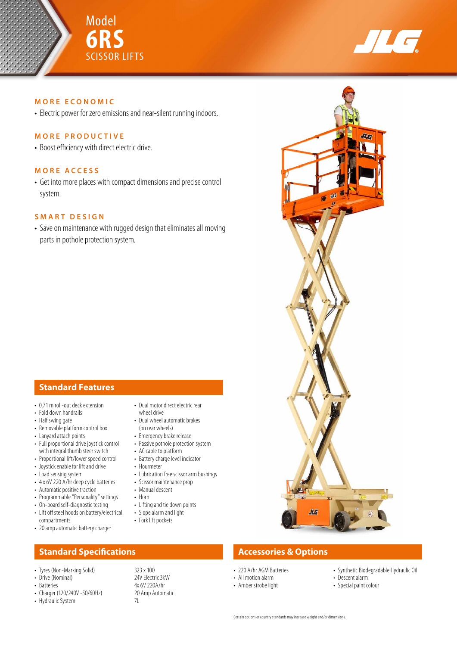



### **MORE ECONOMIC**

• Electric power for zero emissions and near-silent running indoors.

## **MORE PRODUCTIVE**

• Boost efficiency with direct electric drive.

## **MORE ACCESS**

• Get into more places with compact dimensions and precise control system.

## **SMART DESIGN**

• Save on maintenance with rugged design that eliminates all moving parts in pothole protection system.

## **Standard Features**

- 0.71 m roll-out deck extension
- Fold down handrails
- Half swing gate
- Removable platform control box
- Lanyard attach points
- Full proportional drive joystick control with integral thumb steer switch
- Proportional lift/lower speed control
- Joystick enable for lift and drive
- Load sensing system
- 4 x 6V 220 A/hr deep cycle batteries
- Automatic positive traction
- Programmable "Personality" settings
- On-board self-diagnostic testing
- Lift off steel hoods on battery/electrical compartments
- 20 amp automatic battery charger

## **Standard Specifications Accessories & Options**

- 
- Drive (Nominal)<br>• Batteries
- 
- Charger (120/240V -50/60Hz) 20<br>• Hydraulic System 20
- Hydraulic System
- Dual motor direct electric rear
- wheel drive • Dual wheel automatic brakes
- (on rear wheels)
- Emergency brake release
- Passive pothole protection system
- AC cable to platform
- Battery charge level indicator • Hourmeter
- Lubrication free scissor arm bushings
- Scissor maintenance prop
- Manual descent
- Horn
- Lifting and tie down points
- Slope alarm and light
- Fork lift pockets

• Tyres (Non-Marking Solid) 323 x 100<br>• Drive (Nominal) 323 x 100





- 220 A/hr AGM Batteries
- All motion alarm
- Amber strobe light
- Synthetic Biodegradable Hydraulic Oil • Descent alarm
- Special paint colour
-